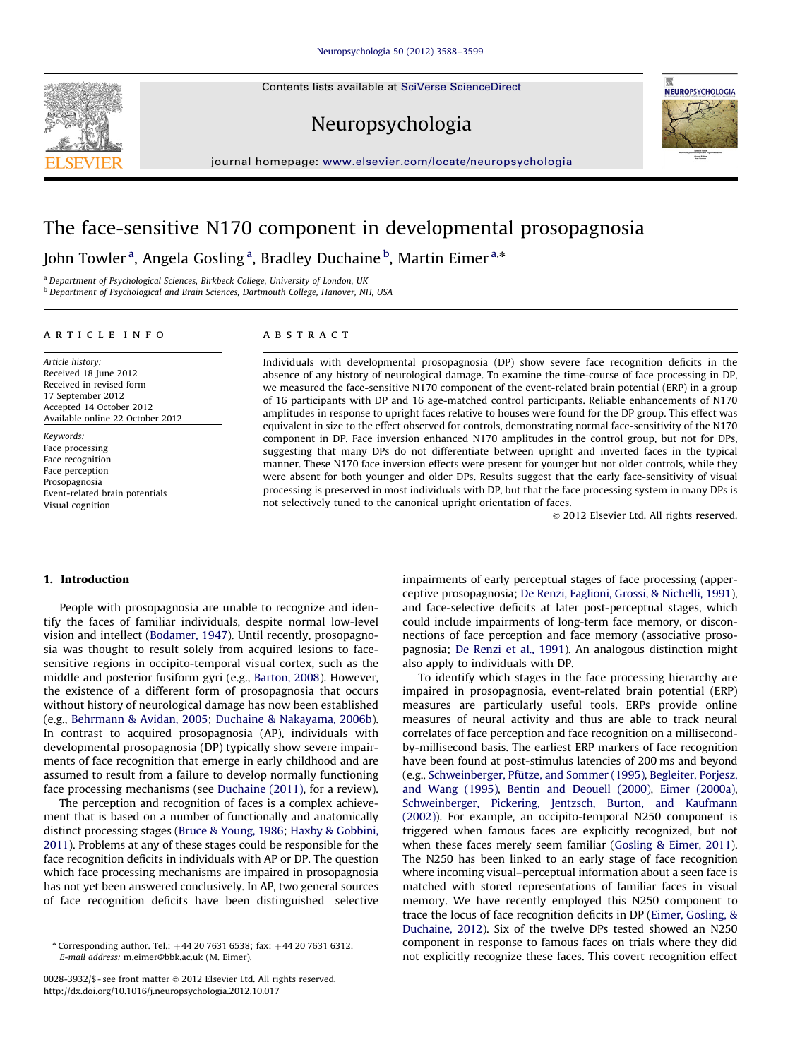Contents lists available at [SciVerse ScienceDirect](www.elsevier.com/locate/neuropsychologia)







journal homepage: <www.elsevier.com/locate/neuropsychologia>

# The face-sensitive N170 component in developmental prosopagnosia

John Towler <sup>a</sup>, Angela Gosling <sup>a</sup>, Bradley Duchaine <sup>b</sup>, Martin Eimer <sup>a,</sup>\*

<sup>a</sup> Department of Psychological Sciences, Birkbeck College, University of London, UK

b Department of Psychological and Brain Sciences, Dartmouth College, Hanover, NH, USA

## article info

#### Article history: Received 18 June 2012 Received in revised form 17 September 2012 Accepted 14 October 2012 Available online 22 October 2012

Keywords: Face processing Face recognition Face perception Prosopagnosia Event-related brain potentials Visual cognition

## ABSTRACT

Individuals with developmental prosopagnosia (DP) show severe face recognition deficits in the absence of any history of neurological damage. To examine the time-course of face processing in DP, we measured the face-sensitive N170 component of the event-related brain potential (ERP) in a group of 16 participants with DP and 16 age-matched control participants. Reliable enhancements of N170 amplitudes in response to upright faces relative to houses were found for the DP group. This effect was equivalent in size to the effect observed for controls, demonstrating normal face-sensitivity of the N170 component in DP. Face inversion enhanced N170 amplitudes in the control group, but not for DPs, suggesting that many DPs do not differentiate between upright and inverted faces in the typical manner. These N170 face inversion effects were present for younger but not older controls, while they were absent for both younger and older DPs. Results suggest that the early face-sensitivity of visual processing is preserved in most individuals with DP, but that the face processing system in many DPs is not selectively tuned to the canonical upright orientation of faces.

 $\odot$  2012 Elsevier Ltd. All rights reserved.

## 1. Introduction

People with prosopagnosia are unable to recognize and identify the faces of familiar individuals, despite normal low-level vision and intellect [\(Bodamer, 1947](#page-10-0)). Until recently, prosopagnosia was thought to result solely from acquired lesions to facesensitive regions in occipito-temporal visual cortex, such as the middle and posterior fusiform gyri (e.g., [Barton, 2008\)](#page-10-0). However, the existence of a different form of prosopagnosia that occurs without history of neurological damage has now been established (e.g., [Behrmann](#page-10-0) & [Avidan, 2005;](#page-10-0) [Duchaine & Nakayama, 2006b\)](#page-10-0). In contrast to acquired prosopagnosia (AP), individuals with developmental prosopagnosia (DP) typically show severe impairments of face recognition that emerge in early childhood and are assumed to result from a failure to develop normally functioning face processing mechanisms (see [Duchaine \(2011\)](#page-10-0), for a review).

The perception and recognition of faces is a complex achievement that is based on a number of functionally and anatomically distinct processing stages ([Bruce](#page-10-0) [& Young, 1986](#page-10-0); [Haxby](#page-11-0) & [Gobbini,](#page-11-0) [2011\)](#page-11-0). Problems at any of these stages could be responsible for the face recognition deficits in individuals with AP or DP. The question which face processing mechanisms are impaired in prosopagnosia has not yet been answered conclusively. In AP, two general sources of face recognition deficits have been distinguished—selective impairments of early perceptual stages of face processing (apperceptive prosopagnosia; [De Renzi, Faglioni, Grossi,](#page-10-0) & [Nichelli, 1991\)](#page-10-0), and face-selective deficits at later post-perceptual stages, which could include impairments of long-term face memory, or disconnections of face perception and face memory (associative prosopagnosia; [De Renzi et al., 1991\)](#page-10-0). An analogous distinction might also apply to individuals with DP.

To identify which stages in the face processing hierarchy are impaired in prosopagnosia, event-related brain potential (ERP) measures are particularly useful tools. ERPs provide online measures of neural activity and thus are able to track neural correlates of face perception and face recognition on a millisecondby-millisecond basis. The earliest ERP markers of face recognition have been found at post-stimulus latencies of 200 ms and beyond (e.g., Schweinberger, Pfütze, and Sommer (1995), [Begleiter, Porjesz,](#page-10-0) [and Wang \(1995\)](#page-10-0), [Bentin and Deouell \(2000\),](#page-10-0) [Eimer \(2000a\),](#page-11-0) [Schweinberger, Pickering, Jentzsch, Burton, and Kaufmann](#page-11-0) [\(2002\)](#page-11-0)). For example, an occipito-temporal N250 component is triggered when famous faces are explicitly recognized, but not when these faces merely seem familiar ([Gosling](#page-11-0) [& Eimer, 2011\)](#page-11-0). The N250 has been linked to an early stage of face recognition where incoming visual–perceptual information about a seen face is matched with stored representations of familiar faces in visual memory. We have recently employed this N250 component to trace the locus of face recognition deficits in DP [\(Eimer, Gosling, &](#page-11-0) [Duchaine, 2012\)](#page-11-0). Six of the twelve DPs tested showed an N250 component in response to famous faces on trials where they did not explicitly recognize these faces. This covert recognition effect

 $*$  Corresponding author. Tel.:  $+44$  20 7631 6538; fax:  $+44$  20 7631 6312. E-mail address: [m.eimer@bbk.ac.uk \(M. Eimer\)](mailto:m.eimer@bbk.ac.uk).

<sup>0028-3932/\$ -</sup> see front matter @ 2012 Elsevier Ltd. All rights reserved. [http://dx.doi.org/10.1016/j.neuropsychologia.2012.10.017](dx.doi.org/10.1016/j.neuropsychologia.2012.10.017)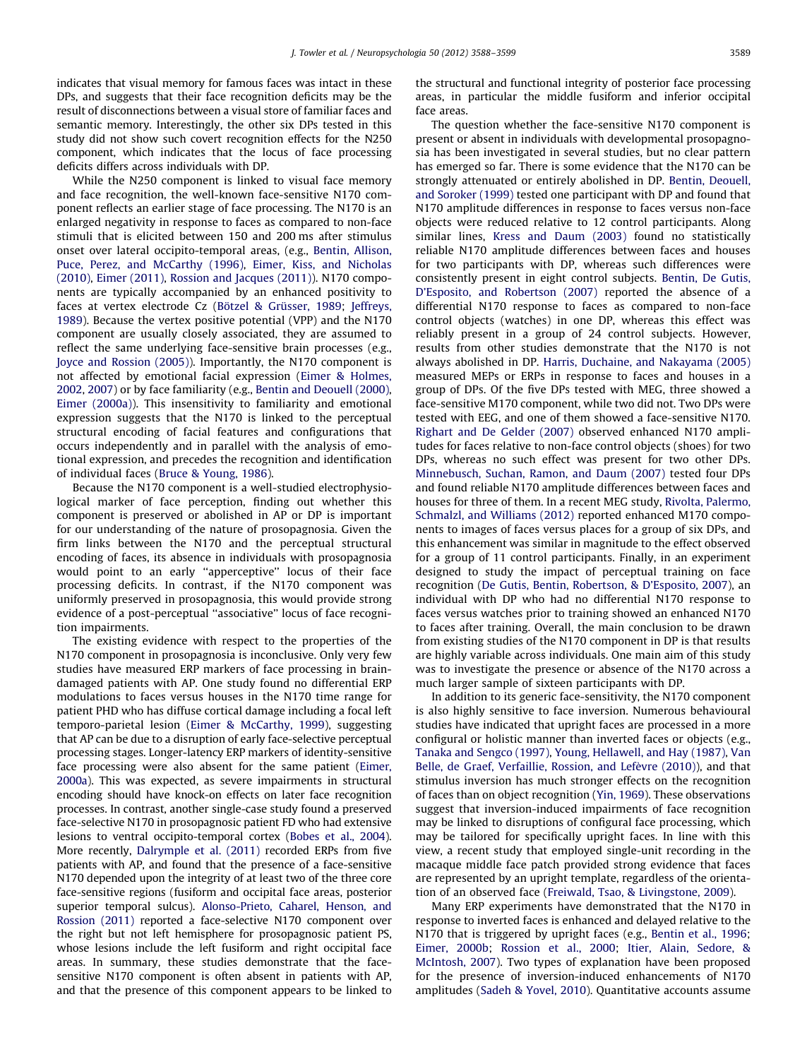indicates that visual memory for famous faces was intact in these DPs, and suggests that their face recognition deficits may be the result of disconnections between a visual store of familiar faces and semantic memory. Interestingly, the other six DPs tested in this study did not show such covert recognition effects for the N250 component, which indicates that the locus of face processing deficits differs across individuals with DP.

While the N250 component is linked to visual face memory and face recognition, the well-known face-sensitive N170 component reflects an earlier stage of face processing. The N170 is an enlarged negativity in response to faces as compared to non-face stimuli that is elicited between 150 and 200 ms after stimulus onset over lateral occipito-temporal areas, (e.g., [Bentin, Allison,](#page-10-0) [Puce, Perez, and McCarthy \(1996\)](#page-10-0), [Eimer, Kiss, and Nicholas](#page-11-0) [\(2010\),](#page-11-0) [Eimer \(2011\),](#page-11-0) [Rossion and Jacques \(2011\)](#page-11-0)). N170 components are typically accompanied by an enhanced positivity to faces at vertex electrode Cz (Bötzel & Grüsser, 1989; [Jeffreys,](#page-11-0) [1989\)](#page-11-0). Because the vertex positive potential (VPP) and the N170 component are usually closely associated, they are assumed to reflect the same underlying face-sensitive brain processes (e.g., [Joyce and Rossion \(2005\)\)](#page-11-0). Importantly, the N170 component is not affected by emotional facial expression [\(Eimer](#page-11-0) [& Holmes,](#page-11-0) [2002,](#page-11-0) [2007\)](#page-11-0) or by face familiarity (e.g., [Bentin and Deouell \(2000\),](#page-10-0) [Eimer \(2000a\)\)](#page-11-0). This insensitivity to familiarity and emotional expression suggests that the N170 is linked to the perceptual structural encoding of facial features and configurations that occurs independently and in parallel with the analysis of emotional expression, and precedes the recognition and identification of individual faces [\(Bruce & Young, 1986](#page-10-0)).

Because the N170 component is a well-studied electrophysiological marker of face perception, finding out whether this component is preserved or abolished in AP or DP is important for our understanding of the nature of prosopagnosia. Given the firm links between the N170 and the perceptual structural encoding of faces, its absence in individuals with prosopagnosia would point to an early ''apperceptive'' locus of their face processing deficits. In contrast, if the N170 component was uniformly preserved in prosopagnosia, this would provide strong evidence of a post-perceptual ''associative'' locus of face recognition impairments.

The existing evidence with respect to the properties of the N170 component in prosopagnosia is inconclusive. Only very few studies have measured ERP markers of face processing in braindamaged patients with AP. One study found no differential ERP modulations to faces versus houses in the N170 time range for patient PHD who has diffuse cortical damage including a focal left temporo-parietal lesion ([Eimer & McCarthy, 1999](#page-11-0)), suggesting that AP can be due to a disruption of early face-selective perceptual processing stages. Longer-latency ERP markers of identity-sensitive face processing were also absent for the same patient ([Eimer,](#page-11-0) [2000a](#page-11-0)). This was expected, as severe impairments in structural encoding should have knock-on effects on later face recognition processes. In contrast, another single-case study found a preserved face-selective N170 in prosopagnosic patient FD who had extensive lesions to ventral occipito-temporal cortex [\(Bobes et al., 2004\)](#page-10-0). More recently, [Dalrymple et al. \(2011\)](#page-10-0) recorded ERPs from five patients with AP, and found that the presence of a face-sensitive N170 depended upon the integrity of at least two of the three core face-sensitive regions (fusiform and occipital face areas, posterior superior temporal sulcus). [Alonso-Prieto, Caharel, Henson, and](#page-10-0) [Rossion \(2011\)](#page-10-0) reported a face-selective N170 component over the right but not left hemisphere for prosopagnosic patient PS, whose lesions include the left fusiform and right occipital face areas. In summary, these studies demonstrate that the facesensitive N170 component is often absent in patients with AP, and that the presence of this component appears to be linked to the structural and functional integrity of posterior face processing areas, in particular the middle fusiform and inferior occipital face areas.

The question whether the face-sensitive N170 component is present or absent in individuals with developmental prosopagnosia has been investigated in several studies, but no clear pattern has emerged so far. There is some evidence that the N170 can be strongly attenuated or entirely abolished in DP. [Bentin, Deouell,](#page-10-0) [and Soroker \(1999\)](#page-10-0) tested one participant with DP and found that N170 amplitude differences in response to faces versus non-face objects were reduced relative to 12 control participants. Along similar lines, [Kress and Daum \(2003\)](#page-11-0) found no statistically reliable N170 amplitude differences between faces and houses for two participants with DP, whereas such differences were consistently present in eight control subjects. [Bentin, De Gutis,](#page-10-0) [D'Esposito, and Robertson \(2007\)](#page-10-0) reported the absence of a differential N170 response to faces as compared to non-face control objects (watches) in one DP, whereas this effect was reliably present in a group of 24 control subjects. However, results from other studies demonstrate that the N170 is not always abolished in DP. [Harris, Duchaine, and Nakayama \(2005\)](#page-11-0) measured MEPs or ERPs in response to faces and houses in a group of DPs. Of the five DPs tested with MEG, three showed a face-sensitive M170 component, while two did not. Two DPs were tested with EEG, and one of them showed a face-sensitive N170. [Righart and De Gelder \(2007\)](#page-11-0) observed enhanced N170 amplitudes for faces relative to non-face control objects (shoes) for two DPs, whereas no such effect was present for two other DPs. [Minnebusch, Suchan, Ramon, and Daum \(2007\)](#page-11-0) tested four DPs and found reliable N170 amplitude differences between faces and houses for three of them. In a recent MEG study, [Rivolta, Palermo,](#page-11-0) [Schmalzl, and Williams \(2012\)](#page-11-0) reported enhanced M170 components to images of faces versus places for a group of six DPs, and this enhancement was similar in magnitude to the effect observed for a group of 11 control participants. Finally, in an experiment designed to study the impact of perceptual training on face recognition [\(De Gutis, Bentin, Robertson, & D'Esposito, 2007](#page-10-0)), an individual with DP who had no differential N170 response to faces versus watches prior to training showed an enhanced N170 to faces after training. Overall, the main conclusion to be drawn from existing studies of the N170 component in DP is that results are highly variable across individuals. One main aim of this study was to investigate the presence or absence of the N170 across a much larger sample of sixteen participants with DP.

In addition to its generic face-sensitivity, the N170 component is also highly sensitive to face inversion. Numerous behavioural studies have indicated that upright faces are processed in a more configural or holistic manner than inverted faces or objects (e.g., [Tanaka and Sengco \(1997\),](#page-11-0) [Young, Hellawell, and Hay \(1987\),](#page-11-0) [Van](#page-11-0) [Belle, de Graef, Verfaillie, Rossion, and Lef](#page-11-0)è[vre \(2010\)](#page-11-0)), and that stimulus inversion has much stronger effects on the recognition of faces than on object recognition [\(Yin, 1969\)](#page-11-0). These observations suggest that inversion-induced impairments of face recognition may be linked to disruptions of configural face processing, which may be tailored for specifically upright faces. In line with this view, a recent study that employed single-unit recording in the macaque middle face patch provided strong evidence that faces are represented by an upright template, regardless of the orientation of an observed face [\(Freiwald, Tsao,](#page-11-0) [& Livingstone, 2009\)](#page-11-0).

Many ERP experiments have demonstrated that the N170 in response to inverted faces is enhanced and delayed relative to the N170 that is triggered by upright faces (e.g., [Bentin et al., 1996;](#page-10-0) [Eimer, 2000b](#page-11-0); [Rossion et al., 2000](#page-11-0); [Itier, Alain, Sedore, &](#page-11-0) [McIntosh, 2007\)](#page-11-0). Two types of explanation have been proposed for the presence of inversion-induced enhancements of N170 amplitudes [\(Sadeh & Yovel, 2010](#page-11-0)). Quantitative accounts assume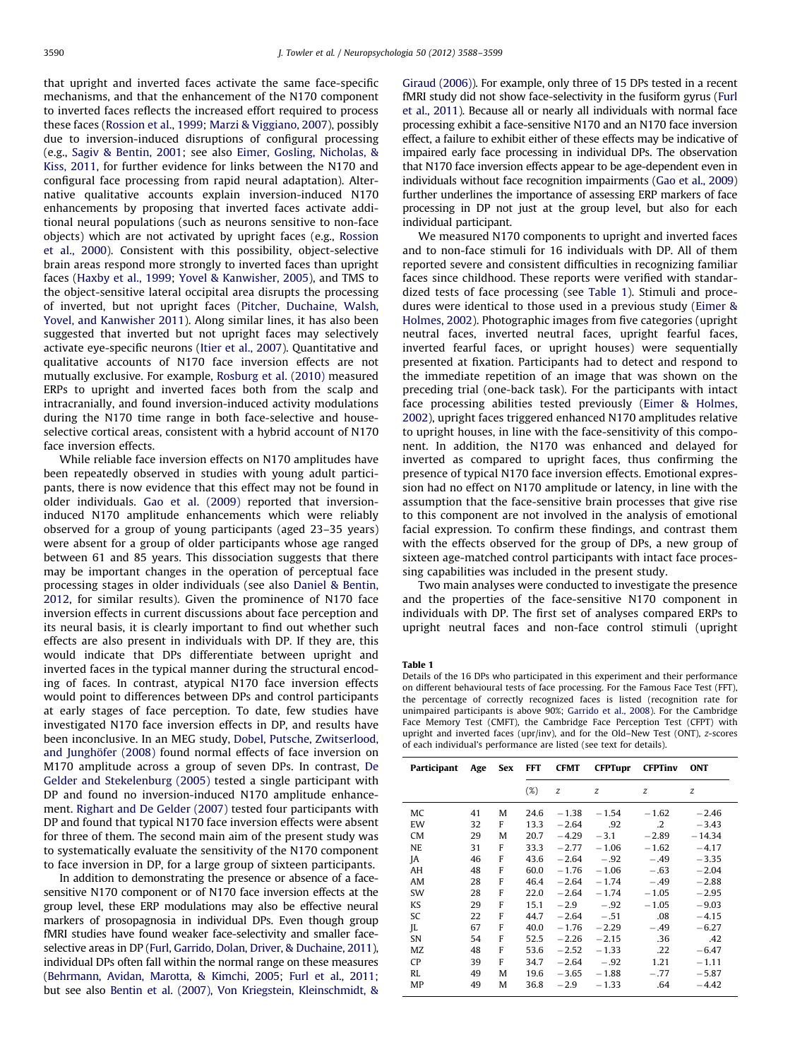<span id="page-2-0"></span>that upright and inverted faces activate the same face-specific mechanisms, and that the enhancement of the N170 component to inverted faces reflects the increased effort required to process these faces [\(Rossion et al., 1999](#page-11-0); [Marzi](#page-11-0) & [Viggiano, 2007](#page-11-0)), possibly due to inversion-induced disruptions of configural processing (e.g., [Sagiv & Bentin, 2001;](#page-11-0) see also [Eimer, Gosling, Nicholas, &](#page-11-0) [Kiss, 2011](#page-11-0), for further evidence for links between the N170 and configural face processing from rapid neural adaptation). Alternative qualitative accounts explain inversion-induced N170 enhancements by proposing that inverted faces activate additional neural populations (such as neurons sensitive to non-face objects) which are not activated by upright faces (e.g., [Rossion](#page-11-0) [et al., 2000\)](#page-11-0). Consistent with this possibility, object-selective brain areas respond more strongly to inverted faces than upright faces ([Haxby et al., 1999](#page-11-0); [Yovel](#page-11-0) & [Kanwisher, 2005](#page-11-0)), and TMS to the object-sensitive lateral occipital area disrupts the processing of inverted, but not upright faces ([Pitcher, Duchaine, Walsh,](#page-11-0) [Yovel, and Kanwisher 2011](#page-11-0)). Along similar lines, it has also been suggested that inverted but not upright faces may selectively activate eye-specific neurons [\(Itier et al., 2007](#page-11-0)). Quantitative and qualitative accounts of N170 face inversion effects are not mutually exclusive. For example, [Rosburg et al. \(2010\)](#page-11-0) measured ERPs to upright and inverted faces both from the scalp and intracranially, and found inversion-induced activity modulations during the N170 time range in both face-selective and houseselective cortical areas, consistent with a hybrid account of N170 face inversion effects.

While reliable face inversion effects on N170 amplitudes have been repeatedly observed in studies with young adult participants, there is now evidence that this effect may not be found in older individuals. [Gao et al. \(2009\)](#page-11-0) reported that inversioninduced N170 amplitude enhancements which were reliably observed for a group of young participants (aged 23–35 years) were absent for a group of older participants whose age ranged between 61 and 85 years. This dissociation suggests that there may be important changes in the operation of perceptual face processing stages in older individuals (see also [Daniel & Bentin,](#page-10-0) [2012,](#page-10-0) for similar results). Given the prominence of N170 face inversion effects in current discussions about face perception and its neural basis, it is clearly important to find out whether such effects are also present in individuals with DP. If they are, this would indicate that DPs differentiate between upright and inverted faces in the typical manner during the structural encoding of faces. In contrast, atypical N170 face inversion effects would point to differences between DPs and control participants at early stages of face perception. To date, few studies have investigated N170 face inversion effects in DP, and results have been inconclusive. In an MEG study, [Dobel, Putsche, Zwitserlood,](#page-10-0) and Junghöfer (2008) found normal effects of face inversion on M170 amplitude across a group of seven DPs. In contrast, [De](#page-10-0) [Gelder and Stekelenburg \(2005\)](#page-10-0) tested a single participant with DP and found no inversion-induced N170 amplitude enhancement. [Righart and De Gelder \(2007\)](#page-11-0) tested four participants with DP and found that typical N170 face inversion effects were absent for three of them. The second main aim of the present study was to systematically evaluate the sensitivity of the N170 component to face inversion in DP, for a large group of sixteen participants.

In addition to demonstrating the presence or absence of a facesensitive N170 component or of N170 face inversion effects at the group level, these ERP modulations may also be effective neural markers of prosopagnosia in individual DPs. Even though group fMRI studies have found weaker face-selectivity and smaller faceselective areas in DP [\(Furl, Garrido, Dolan, Driver,](#page-11-0) & [Duchaine, 2011\)](#page-11-0), individual DPs often fall within the normal range on these measures ([Behrmann, Avidan, Marotta,](#page-10-0) [& Kimchi, 2005](#page-10-0); [Furl et al., 2011;](#page-11-0) but see also [Bentin et al. \(2007\),](#page-10-0) [Von Kriegstein, Kleinschmidt, &](#page-11-0)

[Giraud \(2006\)](#page-11-0)). For example, only three of 15 DPs tested in a recent fMRI study did not show face-selectivity in the fusiform gyrus [\(Furl](#page-11-0) [et al., 2011\)](#page-11-0). Because all or nearly all individuals with normal face processing exhibit a face-sensitive N170 and an N170 face inversion effect, a failure to exhibit either of these effects may be indicative of impaired early face processing in individual DPs. The observation that N170 face inversion effects appear to be age-dependent even in individuals without face recognition impairments ([Gao et al., 2009\)](#page-11-0) further underlines the importance of assessing ERP markers of face processing in DP not just at the group level, but also for each individual participant.

We measured N170 components to upright and inverted faces and to non-face stimuli for 16 individuals with DP. All of them reported severe and consistent difficulties in recognizing familiar faces since childhood. These reports were verified with standardized tests of face processing (see Table 1). Stimuli and procedures were identical to those used in a previous study [\(Eimer &](#page-11-0) [Holmes, 2002](#page-11-0)). Photographic images from five categories (upright neutral faces, inverted neutral faces, upright fearful faces, inverted fearful faces, or upright houses) were sequentially presented at fixation. Participants had to detect and respond to the immediate repetition of an image that was shown on the preceding trial (one-back task). For the participants with intact face processing abilities tested previously [\(Eimer](#page-11-0) [& Holmes,](#page-11-0) [2002\)](#page-11-0), upright faces triggered enhanced N170 amplitudes relative to upright houses, in line with the face-sensitivity of this component. In addition, the N170 was enhanced and delayed for inverted as compared to upright faces, thus confirming the presence of typical N170 face inversion effects. Emotional expression had no effect on N170 amplitude or latency, in line with the assumption that the face-sensitive brain processes that give rise to this component are not involved in the analysis of emotional facial expression. To confirm these findings, and contrast them with the effects observed for the group of DPs, a new group of sixteen age-matched control participants with intact face processing capabilities was included in the present study.

Two main analyses were conducted to investigate the presence and the properties of the face-sensitive N170 component in individuals with DP. The first set of analyses compared ERPs to upright neutral faces and non-face control stimuli (upright

#### Table 1

Details of the 16 DPs who participated in this experiment and their performance on different behavioural tests of face processing. For the Famous Face Test (FFT), the percentage of correctly recognized faces is listed (recognition rate for unimpaired participants is above 90%; [Garrido et al., 2008](#page-11-0)). For the Cambridge Face Memory Test (CMFT), the Cambridge Face Perception Test (CFPT) with upright and inverted faces (upr/inv), and for the Old–New Test (ONT), z-scores of each individual's performance are listed (see text for details).

| Participant | Age | <b>Sex</b> | FFT    | <b>CFMT</b> | <b>CFPTupr</b> | <b>CFPTinv</b> | <b>ONT</b> |
|-------------|-----|------------|--------|-------------|----------------|----------------|------------|
|             |     |            | $(\%)$ | z           | z              | z              | z          |
| MC          | 41  | M          | 24.6   | $-1.38$     | $-1.54$        | $-1.62$        | $-2.46$    |
| EW          | 32  | F          | 13.3   | $-2.64$     | .92            | $\cdot$ .2     | $-3.43$    |
| <b>CM</b>   | 29  | M          | 20.7   | $-4.29$     | $-3.1$         | $-2.89$        | $-14.34$   |
| <b>NE</b>   | 31  | F          | 33.3   | $-2.77$     | $-1.06$        | $-1.62$        | $-4.17$    |
| ΙA          | 46  | F          | 43.6   | $-2.64$     | $-.92$         | $-.49$         | $-3.35$    |
| AH          | 48  | F          | 60.0   | $-1.76$     | $-1.06$        | $-.63$         | $-2.04$    |
| AM          | 28  | F          | 46.4   | $-2.64$     | $-1.74$        | $-.49$         | $-2.88$    |
| SW          | 28  | F          | 22.0   | $-2.64$     | $-1.74$        | $-1.05$        | $-2.95$    |
| KS          | 29  | F          | 15.1   | $-2.9$      | $-.92$         | $-1.05$        | $-9.03$    |
| SC          | 22  | F          | 44.7   | $-2.64$     | $-.51$         | .08            | $-4.15$    |
| JL          | 67  | F          | 40.0   | $-1.76$     | $-2.29$        | $-.49$         | $-6.27$    |
| SN          | 54  | F          | 52.5   | $-2.26$     | $-2.15$        | .36            | .42        |
| MZ          | 48  | F          | 53.6   | $-2.52$     | $-1.33$        | .22            | $-6.47$    |
| <b>CP</b>   | 39  | F          | 34.7   | $-2.64$     | $-.92$         | 1.21           | $-1.11$    |
| <b>RL</b>   | 49  | M          | 19.6   | $-3.65$     | $-1.88$        | $-.77$         | $-5.87$    |
| MP          | 49  | M          | 36.8   | $-2.9$      | $-1.33$        | .64            | $-4.42$    |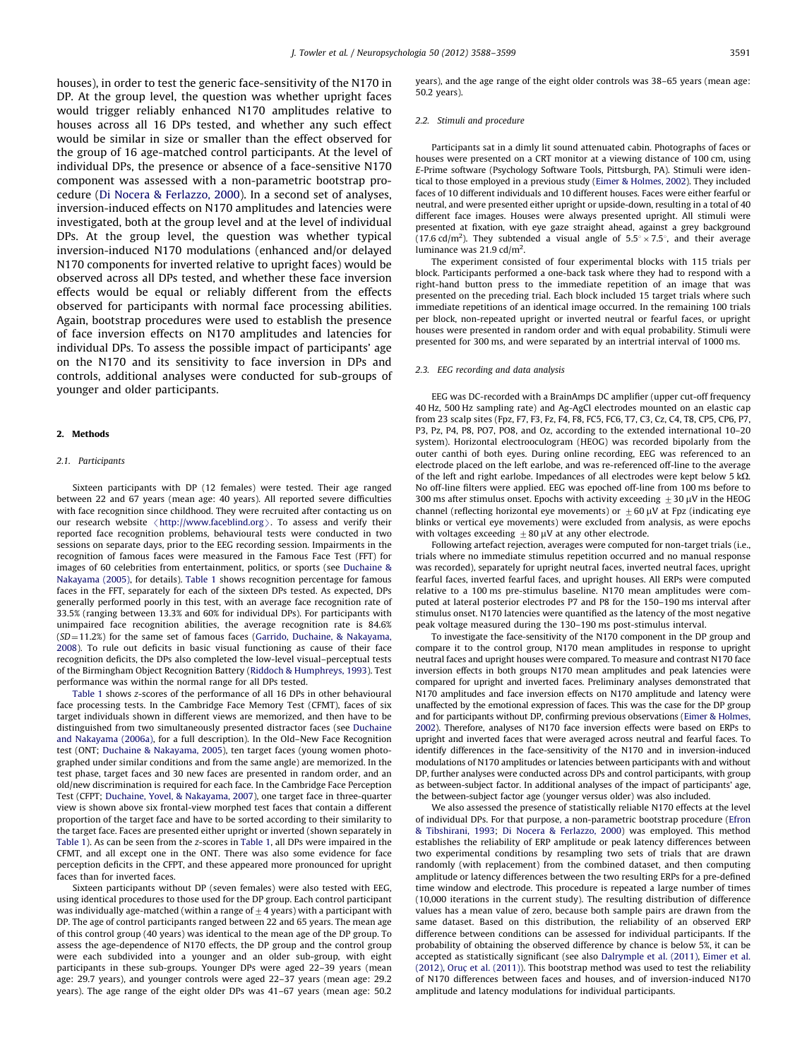houses), in order to test the generic face-sensitivity of the N170 in DP. At the group level, the question was whether upright faces would trigger reliably enhanced N170 amplitudes relative to houses across all 16 DPs tested, and whether any such effect would be similar in size or smaller than the effect observed for the group of 16 age-matched control participants. At the level of individual DPs, the presence or absence of a face-sensitive N170 component was assessed with a non-parametric bootstrap procedure [\(Di Nocera](#page-10-0) [& Ferlazzo, 2000\)](#page-10-0). In a second set of analyses, inversion-induced effects on N170 amplitudes and latencies were investigated, both at the group level and at the level of individual DPs. At the group level, the question was whether typical inversion-induced N170 modulations (enhanced and/or delayed N170 components for inverted relative to upright faces) would be observed across all DPs tested, and whether these face inversion effects would be equal or reliably different from the effects observed for participants with normal face processing abilities. Again, bootstrap procedures were used to establish the presence of face inversion effects on N170 amplitudes and latencies for individual DPs. To assess the possible impact of participants' age on the N170 and its sensitivity to face inversion in DPs and controls, additional analyses were conducted for sub-groups of younger and older participants.

## 2. Methods

#### 2.1. Participants

Sixteen participants with DP (12 females) were tested. Their age ranged between 22 and 67 years (mean age: 40 years). All reported severe difficulties with face recognition since childhood. They were recruited after contacting us on our research website  $\langle$  <http://www.faceblind.org> $\rangle$ . To assess and verify their reported face recognition problems, behavioural tests were conducted in two sessions on separate days, prior to the EEG recording session. Impairments in the recognition of famous faces were measured in the Famous Face Test (FFT) for images of 60 celebrities from entertainment, politics, or sports (see [Duchaine &](#page-10-0) [Nakayama \(2005\)](#page-10-0), for details). [Table 1](#page-2-0) shows recognition percentage for famous faces in the FFT, separately for each of the sixteen DPs tested. As expected, DPs generally performed poorly in this test, with an average face recognition rate of 33.5% (ranging between 13.3% and 60% for individual DPs). For participants with unimpaired face recognition abilities, the average recognition rate is 84.6%  $(SD=11.2%)$  for the same set of famous faces ([Garrido, Duchaine,](#page-11-0) [& Nakayama,](#page-11-0) [2008\)](#page-11-0). To rule out deficits in basic visual functioning as cause of their face recognition deficits, the DPs also completed the low-level visual–perceptual tests of the Birmingham Object Recognition Battery ([Riddoch](#page-11-0) & [Humphreys, 1993](#page-11-0)). Test performance was within the normal range for all DPs tested.

[Table 1](#page-2-0) shows z-scores of the performance of all 16 DPs in other behavioural face processing tests. In the Cambridge Face Memory Test (CFMT), faces of six target individuals shown in different views are memorized, and then have to be distinguished from two simultaneously presented distractor faces (see [Duchaine](#page-10-0) [and Nakayama \(2006a\),](#page-10-0) for a full description). In the Old–New Face Recognition test (ONT; [Duchaine](#page-10-0) & [Nakayama, 2005\)](#page-10-0), ten target faces (young women photographed under similar conditions and from the same angle) are memorized. In the test phase, target faces and 30 new faces are presented in random order, and an old/new discrimination is required for each face. In the Cambridge Face Perception Test (CFPT; [Duchaine, Yovel,](#page-11-0) & [Nakayama, 2007\)](#page-11-0), one target face in three-quarter view is shown above six frontal-view morphed test faces that contain a different proportion of the target face and have to be sorted according to their similarity to the target face. Faces are presented either upright or inverted (shown separately in [Table 1\)](#page-2-0). As can be seen from the z-scores in [Table 1,](#page-2-0) all DPs were impaired in the CFMT, and all except one in the ONT. There was also some evidence for face perception deficits in the CFPT, and these appeared more pronounced for upright faces than for inverted faces.

Sixteen participants without DP (seven females) were also tested with EEG, using identical procedures to those used for the DP group. Each control participant was individually age-matched (within a range of  $\pm$  4 years) with a participant with DP. The age of control participants ranged between 22 and 65 years. The mean age of this control group (40 years) was identical to the mean age of the DP group. To assess the age-dependence of N170 effects, the DP group and the control group were each subdivided into a younger and an older sub-group, with eight participants in these sub-groups. Younger DPs were aged 22–39 years (mean age: 29.7 years), and younger controls were aged 22–37 years (mean age: 29.2 years). The age range of the eight older DPs was 41–67 years (mean age: 50.2 years), and the age range of the eight older controls was 38–65 years (mean age: 50.2 years).

#### 2.2. Stimuli and procedure

Participants sat in a dimly lit sound attenuated cabin. Photographs of faces or houses were presented on a CRT monitor at a viewing distance of 100 cm, using E-Prime software (Psychology Software Tools, Pittsburgh, PA). Stimuli were identical to those employed in a previous study ([Eimer](#page-11-0) & [Holmes, 2002](#page-11-0)). They included faces of 10 different individuals and 10 different houses. Faces were either fearful or neutral, and were presented either upright or upside-down, resulting in a total of 40 different face images. Houses were always presented upright. All stimuli were presented at fixation, with eye gaze straight ahead, against a grey background (17.6 cd/m<sup>2</sup>). They subtended a visual angle of  $5.5^{\circ} \times 7.5^{\circ}$ , and their average luminance was  $21.9$  cd/m<sup>2</sup>.

The experiment consisted of four experimental blocks with 115 trials per block. Participants performed a one-back task where they had to respond with a right-hand button press to the immediate repetition of an image that was presented on the preceding trial. Each block included 15 target trials where such immediate repetitions of an identical image occurred. In the remaining 100 trials per block, non-repeated upright or inverted neutral or fearful faces, or upright houses were presented in random order and with equal probability. Stimuli were presented for 300 ms, and were separated by an intertrial interval of 1000 ms.

#### 2.3. EEG recording and data analysis

EEG was DC-recorded with a BrainAmps DC amplifier (upper cut-off frequency 40 Hz, 500 Hz sampling rate) and Ag-AgCl electrodes mounted on an elastic cap from 23 scalp sites (Fpz, F7, F3, Fz, F4, F8, FC5, FC6, T7, C3, Cz, C4, T8, CP5, CP6, P7, P3, Pz, P4, P8, PO7, PO8, and Oz, according to the extended international 10–20 system). Horizontal electrooculogram (HEOG) was recorded bipolarly from the outer canthi of both eyes. During online recording, EEG was referenced to an electrode placed on the left earlobe, and was re-referenced off-line to the average of the left and right earlobe. Impedances of all electrodes were kept below 5 k $\Omega$ . No off-line filters were applied. EEG was epoched off-line from 100 ms before to 300 ms after stimulus onset. Epochs with activity exceeding  $+30$  uV in the HEOG channel (reflecting horizontal eye movements) or  $\pm 60 \mu$ V at Fpz (indicating eye blinks or vertical eye movements) were excluded from analysis, as were epochs with voltages exceeding  $+80$  uV at any other electrode.

Following artefact rejection, averages were computed for non-target trials (i.e., trials where no immediate stimulus repetition occurred and no manual response was recorded), separately for upright neutral faces, inverted neutral faces, upright fearful faces, inverted fearful faces, and upright houses. All ERPs were computed relative to a 100 ms pre-stimulus baseline. N170 mean amplitudes were computed at lateral posterior electrodes P7 and P8 for the 150–190 ms interval after stimulus onset. N170 latencies were quantified as the latency of the most negative peak voltage measured during the 130–190 ms post-stimulus interval.

To investigate the face-sensitivity of the N170 component in the DP group and compare it to the control group, N170 mean amplitudes in response to upright neutral faces and upright houses were compared. To measure and contrast N170 face inversion effects in both groups N170 mean amplitudes and peak latencies were compared for upright and inverted faces. Preliminary analyses demonstrated that N170 amplitudes and face inversion effects on N170 amplitude and latency were unaffected by the emotional expression of faces. This was the case for the DP group and for participants without DP, confirming previous observations ([Eimer & Holmes,](#page-11-0) [2002](#page-11-0)). Therefore, analyses of N170 face inversion effects were based on ERPs to upright and inverted faces that were averaged across neutral and fearful faces. To identify differences in the face-sensitivity of the N170 and in inversion-induced modulations of N170 amplitudes or latencies between participants with and without DP, further analyses were conducted across DPs and control participants, with group as between-subject factor. In additional analyses of the impact of participants' age, the between-subject factor age (younger versus older) was also included.

We also assessed the presence of statistically reliable N170 effects at the level of individual DPs. For that purpose, a non-parametric bootstrap procedure [\(Efron](#page-11-0) [& Tibshirani, 1993;](#page-11-0) [Di Nocera & Ferlazzo, 2000\)](#page-10-0) was employed. This method establishes the reliability of ERP amplitude or peak latency differences between two experimental conditions by resampling two sets of trials that are drawn randomly (with replacement) from the combined dataset, and then computing amplitude or latency differences between the two resulting ERPs for a pre-defined time window and electrode. This procedure is repeated a large number of times (10,000 iterations in the current study). The resulting distribution of difference values has a mean value of zero, because both sample pairs are drawn from the same dataset. Based on this distribution, the reliability of an observed ERP difference between conditions can be assessed for individual participants. If the probability of obtaining the observed difference by chance is below 5%, it can be accepted as statistically significant (see also [Dalrymple et al. \(2011\),](#page-10-0) [Eimer et al.](#page-11-0)  $(2012)$ . [Oruc](#page-11-0) et al.  $(2011)$ ). This bootstrap method was used to test the reliability of N170 differences between faces and houses, and of inversion-induced N170 amplitude and latency modulations for individual participants.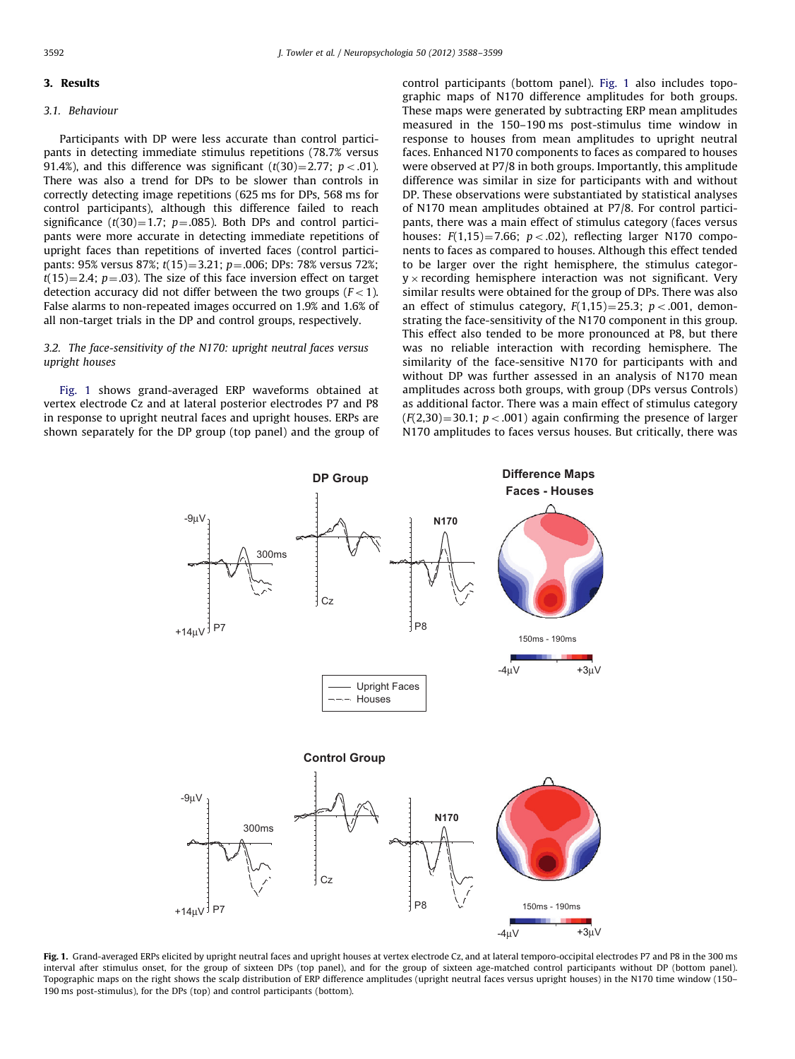#### <span id="page-4-0"></span>3. Results

#### 3.1. Behaviour

Participants with DP were less accurate than control participants in detecting immediate stimulus repetitions (78.7% versus 91.4%), and this difference was significant  $(t(30)=2.77; p<0.01)$ . There was also a trend for DPs to be slower than controls in correctly detecting image repetitions (625 ms for DPs, 568 ms for control participants), although this difference failed to reach significance (t(30)=1.7;  $p=.085$ ). Both DPs and control participants were more accurate in detecting immediate repetitions of upright faces than repetitions of inverted faces (control participants: 95% versus 87%;  $t(15)=3.21$ ;  $p=.006$ ; DPs: 78% versus 72%;  $t(15)=2.4$ ;  $p=.03$ ). The size of this face inversion effect on target detection accuracy did not differ between the two groups  $(F<1)$ . False alarms to non-repeated images occurred on 1.9% and 1.6% of all non-target trials in the DP and control groups, respectively.

## 3.2. The face-sensitivity of the N170: upright neutral faces versus upright houses

Fig. 1 shows grand-averaged ERP waveforms obtained at vertex electrode Cz and at lateral posterior electrodes P7 and P8 in response to upright neutral faces and upright houses. ERPs are shown separately for the DP group (top panel) and the group of control participants (bottom panel). Fig. 1 also includes topographic maps of N170 difference amplitudes for both groups. These maps were generated by subtracting ERP mean amplitudes measured in the 150–190 ms post-stimulus time window in response to houses from mean amplitudes to upright neutral faces. Enhanced N170 components to faces as compared to houses were observed at P7/8 in both groups. Importantly, this amplitude difference was similar in size for participants with and without DP. These observations were substantiated by statistical analyses of N170 mean amplitudes obtained at P7/8. For control participants, there was a main effect of stimulus category (faces versus houses:  $F(1.15) = 7.66$ ;  $p < .02$ ), reflecting larger N170 components to faces as compared to houses. Although this effect tended to be larger over the right hemisphere, the stimulus categor $y \times$  recording hemisphere interaction was not significant. Very similar results were obtained for the group of DPs. There was also an effect of stimulus category,  $F(1,15)=25.3$ ;  $p < .001$ , demonstrating the face-sensitivity of the N170 component in this group. This effect also tended to be more pronounced at P8, but there was no reliable interaction with recording hemisphere. The similarity of the face-sensitive N170 for participants with and without DP was further assessed in an analysis of N170 mean amplitudes across both groups, with group (DPs versus Controls) as additional factor. There was a main effect of stimulus category  $(F(2,30)=30.1; p<.001)$  again confirming the presence of larger N170 amplitudes to faces versus houses. But critically, there was



Fig. 1. Grand-averaged ERPs elicited by upright neutral faces and upright houses at vertex electrode Cz, and at lateral temporo-occipital electrodes P7 and P8 in the 300 ms interval after stimulus onset, for the group of sixteen DPs (top panel), and for the group of sixteen age-matched control participants without DP (bottom panel). Topographic maps on the right shows the scalp distribution of ERP difference amplitudes (upright neutral faces versus upright houses) in the N170 time window (150– 190 ms post-stimulus), for the DPs (top) and control participants (bottom).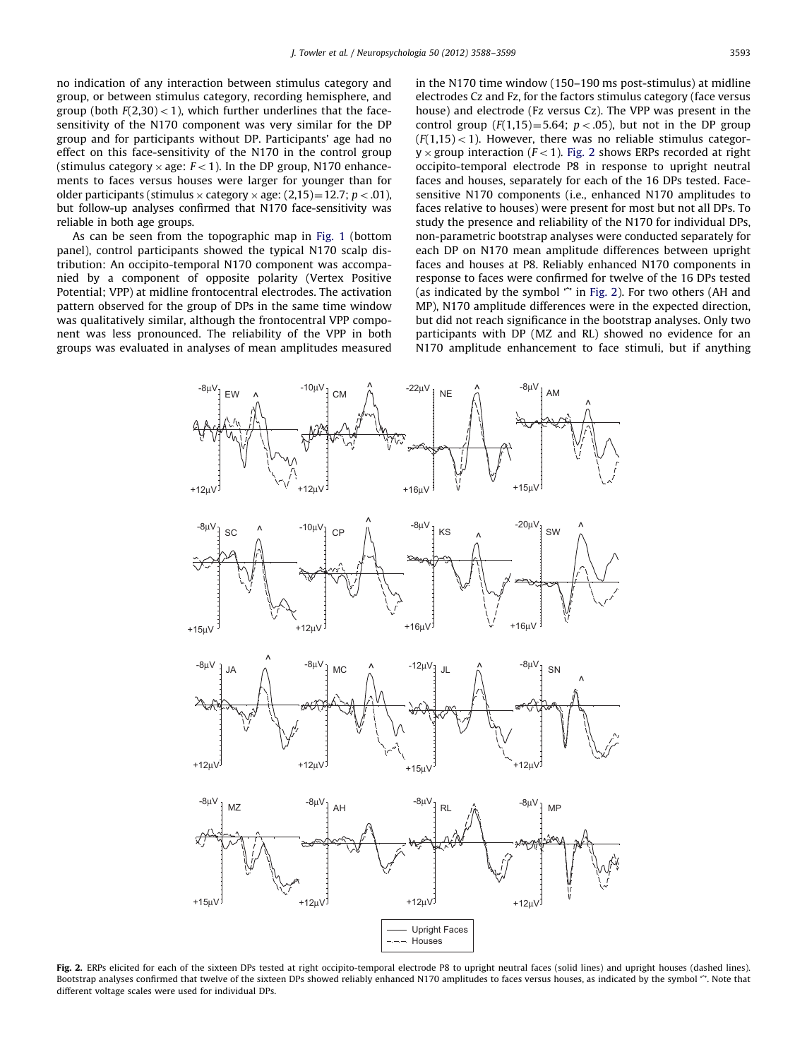<span id="page-5-0"></span>no indication of any interaction between stimulus category and group, or between stimulus category, recording hemisphere, and group (both  $F(2,30) < 1$ ), which further underlines that the facesensitivity of the N170 component was very similar for the DP group and for participants without DP. Participants' age had no effect on this face-sensitivity of the N170 in the control group (stimulus category  $\times$  age:  $F<1$ ). In the DP group, N170 enhancements to faces versus houses were larger for younger than for older participants (stimulus  $\times$  category  $\times$  age: (2,15)=12.7; p < .01), but follow-up analyses confirmed that N170 face-sensitivity was reliable in both age groups.

As can be seen from the topographic map in [Fig. 1](#page-4-0) (bottom panel), control participants showed the typical N170 scalp distribution: An occipito-temporal N170 component was accompanied by a component of opposite polarity (Vertex Positive Potential; VPP) at midline frontocentral electrodes. The activation pattern observed for the group of DPs in the same time window was qualitatively similar, although the frontocentral VPP component was less pronounced. The reliability of the VPP in both groups was evaluated in analyses of mean amplitudes measured in the N170 time window (150–190 ms post-stimulus) at midline electrodes Cz and Fz, for the factors stimulus category (face versus house) and electrode (Fz versus Cz). The VPP was present in the control group  $(F(1,15)=5.64; p<0.05)$ , but not in the DP group  $(F(1,15)$  < 1). However, there was no reliable stimulus categor $y \times$  group interaction ( $F < 1$ ). Fig. 2 shows ERPs recorded at right occipito-temporal electrode P8 in response to upright neutral faces and houses, separately for each of the 16 DPs tested. Facesensitive N170 components (i.e., enhanced N170 amplitudes to faces relative to houses) were present for most but not all DPs. To study the presence and reliability of the N170 for individual DPs, non-parametric bootstrap analyses were conducted separately for each DP on N170 mean amplitude differences between upright faces and houses at P8. Reliably enhanced N170 components in response to faces were confirmed for twelve of the 16 DPs tested (as indicated by the symbol "' in Fig. 2). For two others (AH and MP), N170 amplitude differences were in the expected direction, but did not reach significance in the bootstrap analyses. Only two participants with DP (MZ and RL) showed no evidence for an N170 amplitude enhancement to face stimuli, but if anything



Fig. 2. ERPs elicited for each of the sixteen DPs tested at right occipito-temporal electrode P8 to upright neutral faces (solid lines) and upright houses (dashed lines). Bootstrap analyses confirmed that twelve of the sixteen DPs showed reliably enhanced N170 amplitudes to faces versus houses, as indicated by the symbol ". Note that different voltage scales were used for individual DPs.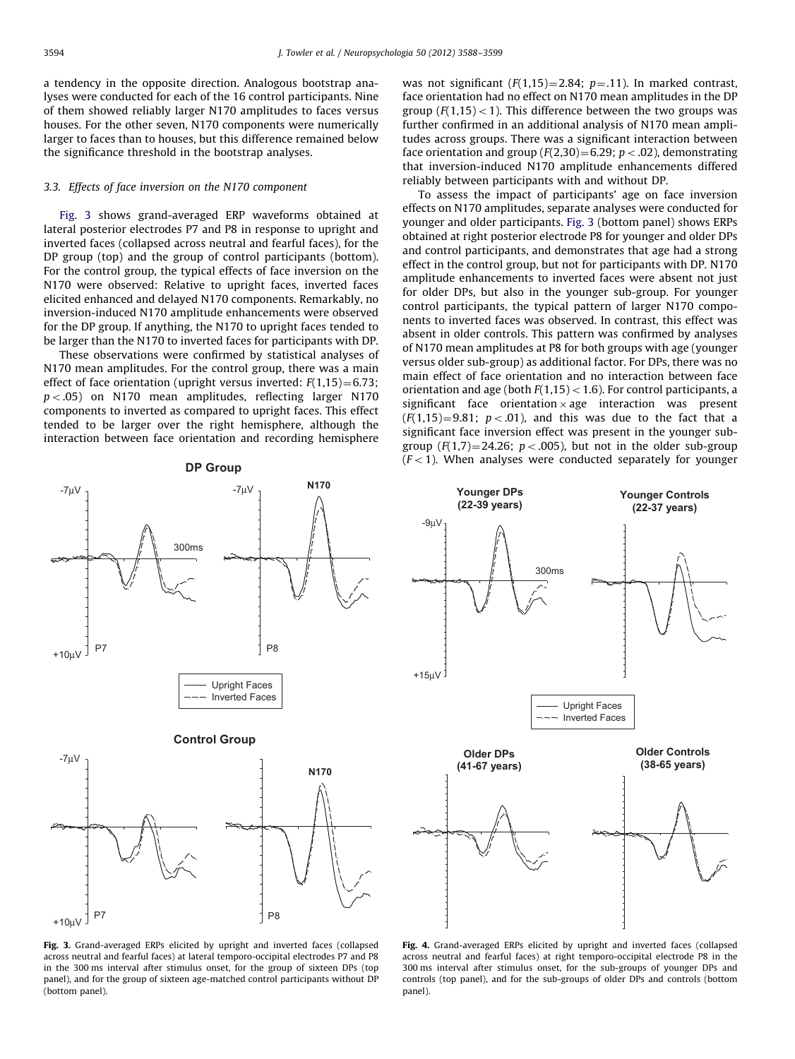<span id="page-6-0"></span>a tendency in the opposite direction. Analogous bootstrap analyses were conducted for each of the 16 control participants. Nine of them showed reliably larger N170 amplitudes to faces versus houses. For the other seven, N170 components were numerically larger to faces than to houses, but this difference remained below the significance threshold in the bootstrap analyses.

## 3.3. Effects of face inversion on the N170 component

Fig. 3 shows grand-averaged ERP waveforms obtained at lateral posterior electrodes P7 and P8 in response to upright and inverted faces (collapsed across neutral and fearful faces), for the DP group (top) and the group of control participants (bottom). For the control group, the typical effects of face inversion on the N170 were observed: Relative to upright faces, inverted faces elicited enhanced and delayed N170 components. Remarkably, no inversion-induced N170 amplitude enhancements were observed for the DP group. If anything, the N170 to upright faces tended to be larger than the N170 to inverted faces for participants with DP.

These observations were confirmed by statistical analyses of N170 mean amplitudes. For the control group, there was a main effect of face orientation (upright versus inverted:  $F(1,15)=6.73$ ;  $p < .05$ ) on N170 mean amplitudes, reflecting larger N170 components to inverted as compared to upright faces. This effect tended to be larger over the right hemisphere, although the interaction between face orientation and recording hemisphere

was not significant  $(F(1,15)=2.84; p=.11)$ . In marked contrast, face orientation had no effect on N170 mean amplitudes in the DP group ( $F(1,15)$  < 1). This difference between the two groups was further confirmed in an additional analysis of N170 mean amplitudes across groups. There was a significant interaction between face orientation and group ( $F(2,30) = 6.29$ ;  $p < .02$ ), demonstrating that inversion-induced N170 amplitude enhancements differed reliably between participants with and without DP.

To assess the impact of participants' age on face inversion effects on N170 amplitudes, separate analyses were conducted for younger and older participants. Fig. 3 (bottom panel) shows ERPs obtained at right posterior electrode P8 for younger and older DPs and control participants, and demonstrates that age had a strong effect in the control group, but not for participants with DP. N170 amplitude enhancements to inverted faces were absent not just for older DPs, but also in the younger sub-group. For younger control participants, the typical pattern of larger N170 components to inverted faces was observed. In contrast, this effect was absent in older controls. This pattern was confirmed by analyses of N170 mean amplitudes at P8 for both groups with age (younger versus older sub-group) as additional factor. For DPs, there was no main effect of face orientation and no interaction between face orientation and age (both  $F(1,15) < 1.6$ ). For control participants, a significant face orientation  $\times$  age interaction was present  $(F(1,15)=9.81; p<0.01)$ , and this was due to the fact that a significant face inversion effect was present in the younger subgroup  $(F(1,7)=24.26; p<.005)$ , but not in the older sub-group  $(F<1)$ . When analyses were conducted separately for younger **DP Group** 



Fig. 3. Grand-averaged ERPs elicited by upright and inverted faces (collapsed across neutral and fearful faces) at lateral temporo-occipital electrodes P7 and P8 in the 300 ms interval after stimulus onset, for the group of sixteen DPs (top panel), and for the group of sixteen age-matched control participants without DP (bottom panel).



Fig. 4. Grand-averaged ERPs elicited by upright and inverted faces (collapsed across neutral and fearful faces) at right temporo-occipital electrode P8 in the 300 ms interval after stimulus onset, for the sub-groups of younger DPs and controls (top panel), and for the sub-groups of older DPs and controls (bottom panel).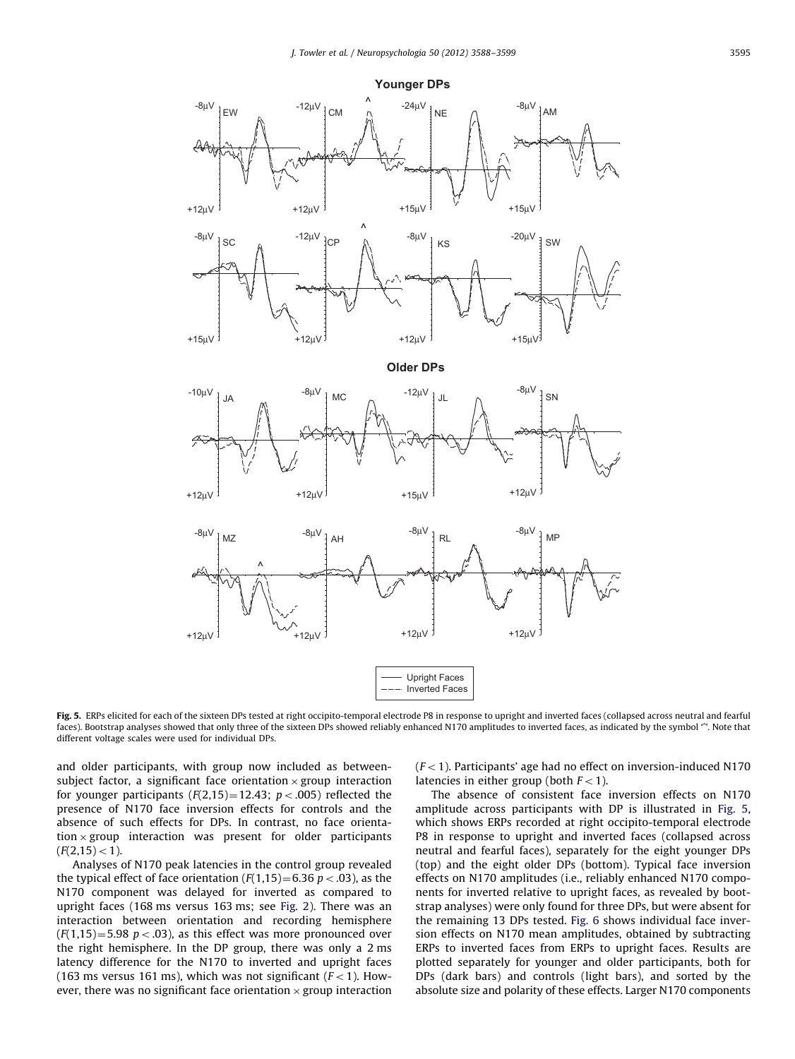<span id="page-7-0"></span>

Fig. 5. ERPs elicited for each of the sixteen DPs tested at right occipito-temporal electrode P8 in response to upright and inverted faces (collapsed across neutral and fearful faces). Bootstrap analyses showed that only three of the sixteen DPs showed reliably enhanced N170 amplitudes to inverted faces, as indicated by the symbol "'. Note that different voltage scales were used for individual DPs.

and older participants, with group now included as betweensubject factor, a significant face orientation  $\times$  group interaction for younger participants  $(F(2,15)=12.43; p<.005)$  reflected the presence of N170 face inversion effects for controls and the absence of such effects for DPs. In contrast, no face orientation  $\times$  group interaction was present for older participants  $(F(2,15) < 1).$ 

Analyses of N170 peak latencies in the control group revealed the typical effect of face orientation  $(F(1,15)=6.36 \ p < .03)$ , as the N170 component was delayed for inverted as compared to upright faces (168 ms versus 163 ms; see [Fig. 2\)](#page-5-0). There was an interaction between orientation and recording hemisphere  $(F(1,15)=5.98 \text{ p} < .03)$ , as this effect was more pronounced over the right hemisphere. In the DP group, there was only a 2 ms latency difference for the N170 to inverted and upright faces (163 ms versus 161 ms), which was not significant  $(F<1)$ . However, there was no significant face orientation  $\times$  group interaction  $(F<1)$ . Participants' age had no effect on inversion-induced N170 latencies in either group (both  $F<1$ ).

The absence of consistent face inversion effects on N170 amplitude across participants with DP is illustrated in Fig. 5, which shows ERPs recorded at right occipito-temporal electrode P8 in response to upright and inverted faces (collapsed across neutral and fearful faces), separately for the eight younger DPs (top) and the eight older DPs (bottom). Typical face inversion effects on N170 amplitudes (i.e., reliably enhanced N170 components for inverted relative to upright faces, as revealed by bootstrap analyses) were only found for three DPs, but were absent for the remaining 13 DPs tested. [Fig. 6](#page-8-0) shows individual face inversion effects on N170 mean amplitudes, obtained by subtracting ERPs to inverted faces from ERPs to upright faces. Results are plotted separately for younger and older participants, both for DPs (dark bars) and controls (light bars), and sorted by the absolute size and polarity of these effects. Larger N170 components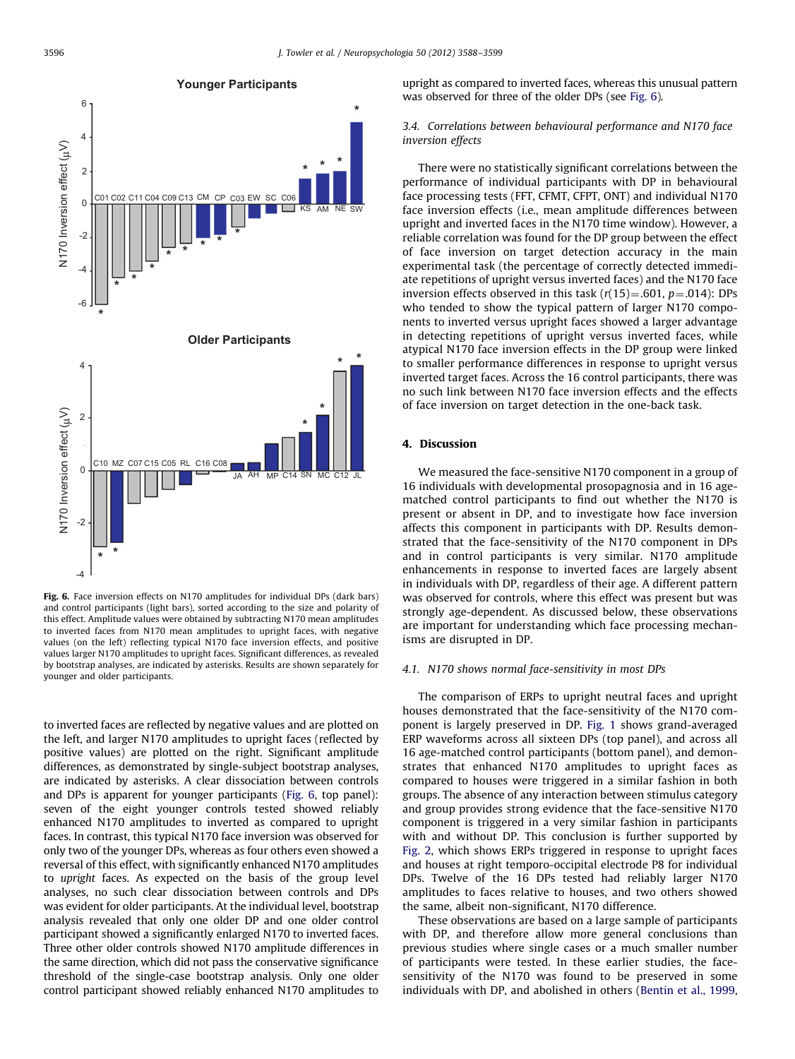<span id="page-8-0"></span>

**Younger Participants** 

Fig. 6. Face inversion effects on N170 amplitudes for individual DPs (dark bars) and control participants (light bars), sorted according to the size and polarity of this effect. Amplitude values were obtained by subtracting N170 mean amplitudes to inverted faces from N170 mean amplitudes to upright faces, with negative values (on the left) reflecting typical N170 face inversion effects, and positive values larger N170 amplitudes to upright faces. Significant differences, as revealed by bootstrap analyses, are indicated by asterisks. Results are shown separately for younger and older participants.

to inverted faces are reflected by negative values and are plotted on the left, and larger N170 amplitudes to upright faces (reflected by positive values) are plotted on the right. Significant amplitude differences, as demonstrated by single-subject bootstrap analyses, are indicated by asterisks. A clear dissociation between controls and DPs is apparent for younger participants (Fig. 6, top panel): seven of the eight younger controls tested showed reliably enhanced N170 amplitudes to inverted as compared to upright faces. In contrast, this typical N170 face inversion was observed for only two of the younger DPs, whereas as four others even showed a reversal of this effect, with significantly enhanced N170 amplitudes to upright faces. As expected on the basis of the group level analyses, no such clear dissociation between controls and DPs was evident for older participants. At the individual level, bootstrap analysis revealed that only one older DP and one older control participant showed a significantly enlarged N170 to inverted faces. Three other older controls showed N170 amplitude differences in the same direction, which did not pass the conservative significance threshold of the single-case bootstrap analysis. Only one older control participant showed reliably enhanced N170 amplitudes to

upright as compared to inverted faces, whereas this unusual pattern was observed for three of the older DPs (see Fig. 6).

# 3.4. Correlations between behavioural performance and N170 face inversion effects

There were no statistically significant correlations between the performance of individual participants with DP in behavioural face processing tests (FFT, CFMT, CFPT, ONT) and individual N170 face inversion effects (i.e., mean amplitude differences between upright and inverted faces in the N170 time window). However, a reliable correlation was found for the DP group between the effect of face inversion on target detection accuracy in the main experimental task (the percentage of correctly detected immediate repetitions of upright versus inverted faces) and the N170 face inversion effects observed in this task  $(r(15)=0.601, p=.014)$ : DPs who tended to show the typical pattern of larger N170 components to inverted versus upright faces showed a larger advantage in detecting repetitions of upright versus inverted faces, while atypical N170 face inversion effects in the DP group were linked to smaller performance differences in response to upright versus inverted target faces. Across the 16 control participants, there was no such link between N170 face inversion effects and the effects of face inversion on target detection in the one-back task.

## 4. Discussion

We measured the face-sensitive N170 component in a group of 16 individuals with developmental prosopagnosia and in 16 agematched control participants to find out whether the N170 is present or absent in DP, and to investigate how face inversion affects this component in participants with DP. Results demonstrated that the face-sensitivity of the N170 component in DPs and in control participants is very similar. N170 amplitude enhancements in response to inverted faces are largely absent in individuals with DP, regardless of their age. A different pattern was observed for controls, where this effect was present but was strongly age-dependent. As discussed below, these observations are important for understanding which face processing mechanisms are disrupted in DP.

## 4.1. N170 shows normal face-sensitivity in most DPs

The comparison of ERPs to upright neutral faces and upright houses demonstrated that the face-sensitivity of the N170 component is largely preserved in DP. [Fig. 1](#page-4-0) shows grand-averaged ERP waveforms across all sixteen DPs (top panel), and across all 16 age-matched control participants (bottom panel), and demonstrates that enhanced N170 amplitudes to upright faces as compared to houses were triggered in a similar fashion in both groups. The absence of any interaction between stimulus category and group provides strong evidence that the face-sensitive N170 component is triggered in a very similar fashion in participants with and without DP. This conclusion is further supported by [Fig. 2](#page-5-0), which shows ERPs triggered in response to upright faces and houses at right temporo-occipital electrode P8 for individual DPs. Twelve of the 16 DPs tested had reliably larger N170 amplitudes to faces relative to houses, and two others showed the same, albeit non-significant, N170 difference.

These observations are based on a large sample of participants with DP, and therefore allow more general conclusions than previous studies where single cases or a much smaller number of participants were tested. In these earlier studies, the facesensitivity of the N170 was found to be preserved in some individuals with DP, and abolished in others ([Bentin et al., 1999,](#page-10-0)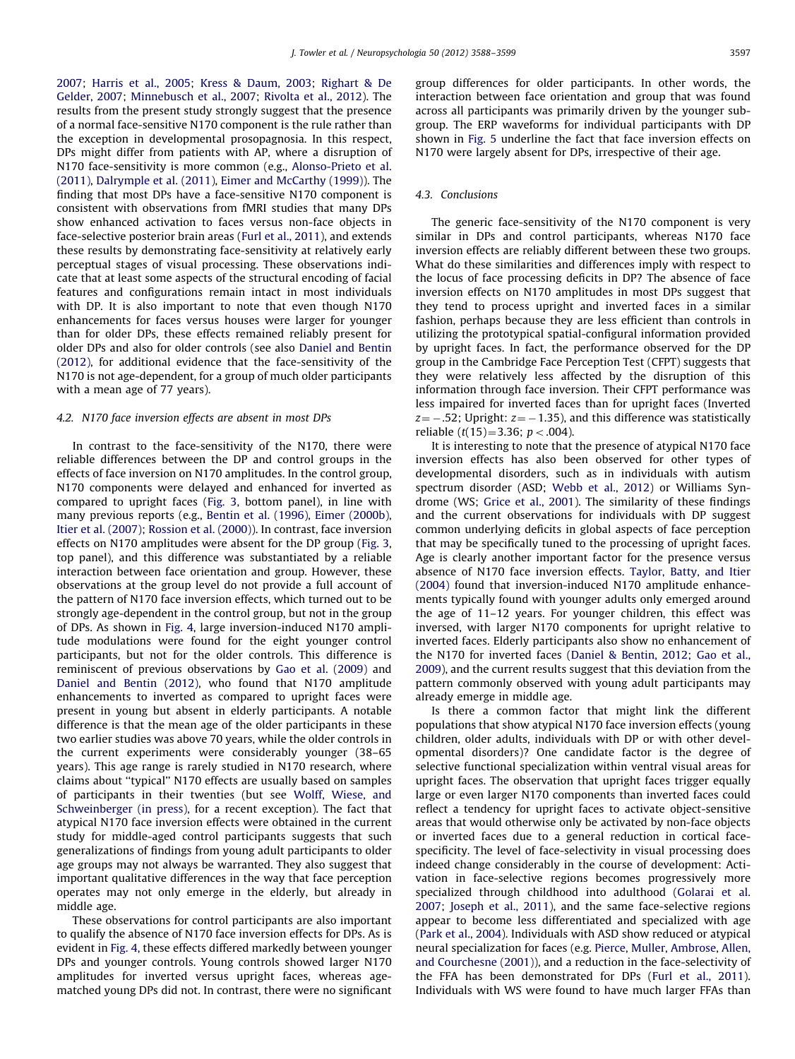[2007;](#page-10-0) [Harris et al., 2005;](#page-11-0) [Kress](#page-11-0) & [Daum, 2003;](#page-11-0) [Righart](#page-11-0) & [De](#page-11-0) [Gelder, 2007;](#page-11-0) [Minnebusch et al., 2007;](#page-11-0) [Rivolta et al., 2012](#page-11-0)). The results from the present study strongly suggest that the presence of a normal face-sensitive N170 component is the rule rather than the exception in developmental prosopagnosia. In this respect, DPs might differ from patients with AP, where a disruption of N170 face-sensitivity is more common (e.g., [Alonso-Prieto et al.](#page-10-0) [\(2011\),](#page-10-0) [Dalrymple et al. \(2011\)](#page-10-0), [Eimer and McCarthy \(1999\)](#page-11-0)). The finding that most DPs have a face-sensitive N170 component is consistent with observations from fMRI studies that many DPs show enhanced activation to faces versus non-face objects in face-selective posterior brain areas [\(Furl et al., 2011](#page-11-0)), and extends these results by demonstrating face-sensitivity at relatively early perceptual stages of visual processing. These observations indicate that at least some aspects of the structural encoding of facial features and configurations remain intact in most individuals with DP. It is also important to note that even though N170 enhancements for faces versus houses were larger for younger than for older DPs, these effects remained reliably present for older DPs and also for older controls (see also [Daniel and Bentin](#page-10-0) [\(2012\),](#page-10-0) for additional evidence that the face-sensitivity of the N170 is not age-dependent, for a group of much older participants with a mean age of 77 years).

## 4.2. N170 face inversion effects are absent in most DPs

In contrast to the face-sensitivity of the N170, there were reliable differences between the DP and control groups in the effects of face inversion on N170 amplitudes. In the control group, N170 components were delayed and enhanced for inverted as compared to upright faces [\(Fig. 3,](#page-6-0) bottom panel), in line with many previous reports (e.g., [Bentin et al. \(1996\),](#page-10-0) [Eimer \(2000b\),](#page-11-0) [Itier et al. \(2007\)](#page-11-0); [Rossion et al. \(2000\)](#page-11-0)). In contrast, face inversion effects on N170 amplitudes were absent for the DP group ([Fig. 3,](#page-6-0) top panel), and this difference was substantiated by a reliable interaction between face orientation and group. However, these observations at the group level do not provide a full account of the pattern of N170 face inversion effects, which turned out to be strongly age-dependent in the control group, but not in the group of DPs. As shown in [Fig. 4,](#page-6-0) large inversion-induced N170 amplitude modulations were found for the eight younger control participants, but not for the older controls. This difference is reminiscent of previous observations by [Gao et al. \(2009\)](#page-11-0) and [Daniel and Bentin \(2012\),](#page-10-0) who found that N170 amplitude enhancements to inverted as compared to upright faces were present in young but absent in elderly participants. A notable difference is that the mean age of the older participants in these two earlier studies was above 70 years, while the older controls in the current experiments were considerably younger (38–65 years). This age range is rarely studied in N170 research, where claims about ''typical'' N170 effects are usually based on samples of participants in their twenties (but see [Wolff, Wiese, and](#page-11-0) [Schweinberger \(in press\)](#page-11-0), for a recent exception). The fact that atypical N170 face inversion effects were obtained in the current study for middle-aged control participants suggests that such generalizations of findings from young adult participants to older age groups may not always be warranted. They also suggest that important qualitative differences in the way that face perception operates may not only emerge in the elderly, but already in middle age.

These observations for control participants are also important to qualify the absence of N170 face inversion effects for DPs. As is evident in [Fig. 4](#page-6-0), these effects differed markedly between younger DPs and younger controls. Young controls showed larger N170 amplitudes for inverted versus upright faces, whereas agematched young DPs did not. In contrast, there were no significant group differences for older participants. In other words, the interaction between face orientation and group that was found across all participants was primarily driven by the younger subgroup. The ERP waveforms for individual participants with DP shown in [Fig. 5](#page-7-0) underline the fact that face inversion effects on N170 were largely absent for DPs, irrespective of their age.

# 4.3. Conclusions

The generic face-sensitivity of the N170 component is very similar in DPs and control participants, whereas N170 face inversion effects are reliably different between these two groups. What do these similarities and differences imply with respect to the locus of face processing deficits in DP? The absence of face inversion effects on N170 amplitudes in most DPs suggest that they tend to process upright and inverted faces in a similar fashion, perhaps because they are less efficient than controls in utilizing the prototypical spatial-configural information provided by upright faces. In fact, the performance observed for the DP group in the Cambridge Face Perception Test (CFPT) suggests that they were relatively less affected by the disruption of this information through face inversion. Their CFPT performance was less impaired for inverted faces than for upright faces (Inverted z=  $-$  .52; Upright: z=  $-$  1.35), and this difference was statistically reliable  $(t(15)=3.36; p<.004)$ .

It is interesting to note that the presence of atypical N170 face inversion effects has also been observed for other types of developmental disorders, such as in individuals with autism spectrum disorder (ASD; [Webb et al., 2012\)](#page-11-0) or Williams Syndrome (WS; [Grice et al., 2001](#page-11-0)). The similarity of these findings and the current observations for individuals with DP suggest common underlying deficits in global aspects of face perception that may be specifically tuned to the processing of upright faces. Age is clearly another important factor for the presence versus absence of N170 face inversion effects. [Taylor, Batty, and Itier](#page-11-0) [\(2004\)](#page-11-0) found that inversion-induced N170 amplitude enhancements typically found with younger adults only emerged around the age of 11–12 years. For younger children, this effect was inversed, with larger N170 components for upright relative to inverted faces. Elderly participants also show no enhancement of the N170 for inverted faces ([Daniel](#page-10-0) [& Bentin, 2012;](#page-10-0) [Gao et al.,](#page-11-0) [2009\)](#page-11-0), and the current results suggest that this deviation from the pattern commonly observed with young adult participants may already emerge in middle age.

Is there a common factor that might link the different populations that show atypical N170 face inversion effects (young children, older adults, individuals with DP or with other developmental disorders)? One candidate factor is the degree of selective functional specialization within ventral visual areas for upright faces. The observation that upright faces trigger equally large or even larger N170 components than inverted faces could reflect a tendency for upright faces to activate object-sensitive areas that would otherwise only be activated by non-face objects or inverted faces due to a general reduction in cortical facespecificity. The level of face-selectivity in visual processing does indeed change considerably in the course of development: Activation in face-selective regions becomes progressively more specialized through childhood into adulthood ([Golarai et al.](#page-11-0) [2007;](#page-11-0) [Joseph et al., 2011\)](#page-11-0), and the same face-selective regions appear to become less differentiated and specialized with age ([Park et al., 2004\)](#page-11-0). Individuals with ASD show reduced or atypical neural specialization for faces (e.g. [Pierce, Muller, Ambrose, Allen,](#page-11-0) [and Courchesne \(2001\)](#page-11-0)), and a reduction in the face-selectivity of the FFA has been demonstrated for DPs ([Furl et al., 2011\)](#page-11-0). Individuals with WS were found to have much larger FFAs than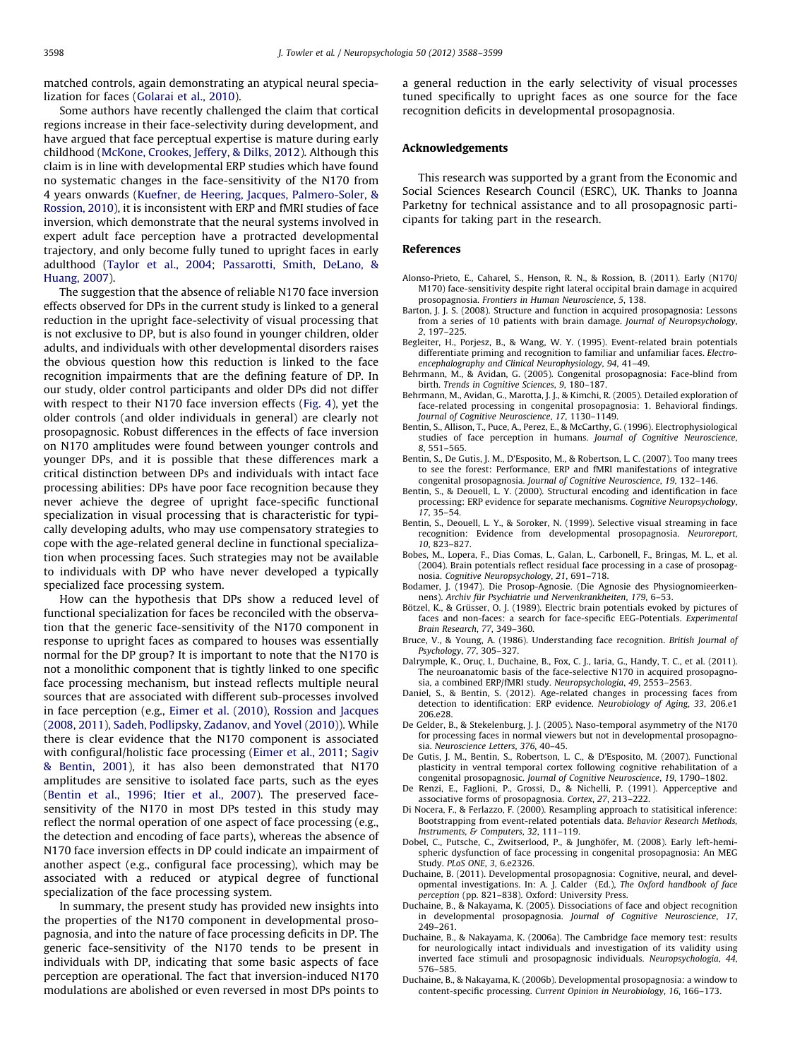<span id="page-10-0"></span>matched controls, again demonstrating an atypical neural specialization for faces ([Golarai et al., 2010\)](#page-11-0).

Some authors have recently challenged the claim that cortical regions increase in their face-selectivity during development, and have argued that face perceptual expertise is mature during early childhood [\(McKone, Crookes, Jeffery,](#page-11-0) [& Dilks, 2012\)](#page-11-0). Although this claim is in line with developmental ERP studies which have found no systematic changes in the face-sensitivity of the N170 from 4 years onwards [\(Kuefner, de Heering, Jacques, Palmero-Soler, &](#page-11-0) [Rossion, 2010](#page-11-0)), it is inconsistent with ERP and fMRI studies of face inversion, which demonstrate that the neural systems involved in expert adult face perception have a protracted developmental trajectory, and only become fully tuned to upright faces in early adulthood [\(Taylor et al., 2004;](#page-11-0) [Passarotti, Smith, DeLano, &](#page-11-0) [Huang, 2007\)](#page-11-0).

The suggestion that the absence of reliable N170 face inversion effects observed for DPs in the current study is linked to a general reduction in the upright face-selectivity of visual processing that is not exclusive to DP, but is also found in younger children, older adults, and individuals with other developmental disorders raises the obvious question how this reduction is linked to the face recognition impairments that are the defining feature of DP. In our study, older control participants and older DPs did not differ with respect to their N170 face inversion effects [\(Fig. 4](#page-6-0)), yet the older controls (and older individuals in general) are clearly not prosopagnosic. Robust differences in the effects of face inversion on N170 amplitudes were found between younger controls and younger DPs, and it is possible that these differences mark a critical distinction between DPs and individuals with intact face processing abilities: DPs have poor face recognition because they never achieve the degree of upright face-specific functional specialization in visual processing that is characteristic for typically developing adults, who may use compensatory strategies to cope with the age-related general decline in functional specialization when processing faces. Such strategies may not be available to individuals with DP who have never developed a typically specialized face processing system.

How can the hypothesis that DPs show a reduced level of functional specialization for faces be reconciled with the observation that the generic face-sensitivity of the N170 component in response to upright faces as compared to houses was essentially normal for the DP group? It is important to note that the N170 is not a monolithic component that is tightly linked to one specific face processing mechanism, but instead reflects multiple neural sources that are associated with different sub-processes involved in face perception (e.g., [Eimer et al. \(2010\)](#page-11-0), [Rossion and Jacques](#page-11-0) [\(2008,](#page-11-0) [2011\), Sadeh, Podlipsky, Zadanov, and Yovel \(2010\)\)](#page-11-0). While there is clear evidence that the N170 component is associated with configural/holistic face processing ([Eimer et al., 2011;](#page-11-0) [Sagiv](#page-11-0) [& Bentin, 2001](#page-11-0)), it has also been demonstrated that N170 amplitudes are sensitive to isolated face parts, such as the eyes (Bentin et al., 1996; [Itier et al., 2007](#page-11-0)). The preserved facesensitivity of the N170 in most DPs tested in this study may reflect the normal operation of one aspect of face processing (e.g., the detection and encoding of face parts), whereas the absence of N170 face inversion effects in DP could indicate an impairment of another aspect (e.g., configural face processing), which may be associated with a reduced or atypical degree of functional specialization of the face processing system.

In summary, the present study has provided new insights into the properties of the N170 component in developmental prosopagnosia, and into the nature of face processing deficits in DP. The generic face-sensitivity of the N170 tends to be present in individuals with DP, indicating that some basic aspects of face perception are operational. The fact that inversion-induced N170 modulations are abolished or even reversed in most DPs points to a general reduction in the early selectivity of visual processes tuned specifically to upright faces as one source for the face recognition deficits in developmental prosopagnosia.

## Acknowledgements

This research was supported by a grant from the Economic and Social Sciences Research Council (ESRC), UK. Thanks to Joanna Parketny for technical assistance and to all prosopagnosic participants for taking part in the research.

#### References

- Alonso-Prieto, E., Caharel, S., Henson, R. N., & Rossion, B. (2011). Early (N170/ M170) face-sensitivity despite right lateral occipital brain damage in acquired prosopagnosia. Frontiers in Human Neuroscience, 5, 138.
- Barton, J. J. S. (2008). Structure and function in acquired prosopagnosia: Lessons from a series of 10 patients with brain damage. Journal of Neuropsychology, 2, 197–225.
- Begleiter, H., Porjesz, B., & Wang, W. Y. (1995). Event-related brain potentials differentiate priming and recognition to familiar and unfamiliar faces. Electroencephalography and Clinical Neurophysiology, 94, 41–49.
- Behrmann, M., & Avidan, G. (2005). Congenital prosopagnosia: Face-blind from birth. Trends in Cognitive Sciences, 9, 180–187.
- Behrmann, M., Avidan, G., Marotta, J. J., & Kimchi, R. (2005). Detailed exploration of face-related processing in congenital prosopagnosia: 1. Behavioral findings. Journal of Cognitive Neuroscience, 17, 1130–1149.
- Bentin, S., Allison, T., Puce, A., Perez, E., & McCarthy, G. (1996). Electrophysiological studies of face perception in humans. Journal of Cognitive Neuroscience, 8, 551–565.
- Bentin, S., De Gutis, J. M., D'Esposito, M., & Robertson, L. C. (2007). Too many trees to see the forest: Performance, ERP and fMRI manifestations of integrative congenital prosopagnosia. Journal of Cognitive Neuroscience, 19, 132–146.
- Bentin, S., & Deouell, L. Y. (2000). Structural encoding and identification in face processing: ERP evidence for separate mechanisms. Cognitive Neuropsychology, 17, 35–54.
- Bentin, S., Deouell, L. Y., & Soroker, N. (1999). Selective visual streaming in face recognition: Evidence from developmental prosopagnosia. Neuroreport, 10, 823–827.
- Bobes, M., Lopera, F., Dias Comas, L., Galan, L., Carbonell, F., Bringas, M. L., et al. (2004). Brain potentials reflect residual face processing in a case of prosopagnosia. Cognitive Neuropsychology, 21, 691–718.
- Bodamer, J. (1947). Die Prosop-Agnosie. (Die Agnosie des Physiognomieerkennens). Archiv für Psychiatrie und Nervenkrankheiten 179, 6–53.
- Bötzel, K., & Grüsser, O. J. (1989). Electric brain potentials evoked by pictures of faces and non-faces: a search for face-specific EEG-Potentials. Experimental Brain Research, 77, 349–360.
- Bruce, V., & Young, A. (1986). Understanding face recognition. British Journal of Psychology, 77, 305–327.
- Dalrymple, K., Oruc-, I., Duchaine, B., Fox, C. J., Iaria, G., Handy, T. C., et al. (2011). The neuroanatomic basis of the face-selective N170 in acquired prosopagnosia, a combined ERP/fMRI study. Neuropsychologia, 49, 2553–2563.
- Daniel, S., & Bentin, S. (2012). Age-related changes in processing faces from detection to identification: ERP evidence. Neurobiology of Aging, 33, 206.e1 206.e28.
- De Gelder, B., & Stekelenburg, J. J. (2005). Naso-temporal asymmetry of the N170 for processing faces in normal viewers but not in developmental prosopagnosia. Neuroscience Letters, 376, 40–45.
- De Gutis, J. M., Bentin, S., Robertson, L. C., & D'Esposito, M. (2007). Functional plasticity in ventral temporal cortex following cognitive rehabilitation of a congenital prosopagnosic. Journal of Cognitive Neuroscience, 19, 1790–1802.
- De Renzi, E., Faglioni, P., Grossi, D., & Nichelli, P. (1991). Apperceptive and associative forms of prosopagnosia. Cortex, 27, 213–222.
- Di Nocera, F., & Ferlazzo, F. (2000). Resampling approach to statisitical inference: Bootstrapping from event-related potentials data. Behavior Research Methods, Instruments, & Computers, 32, 111–119.
- Dobel, C., Putsche, C., Zwitserlood, P., & Junghöfer, M. (2008). Early left-hemispheric dysfunction of face processing in congenital prosopagnosia: An MEG Study. PLoS ONE, 3, 6.e2326.
- Duchaine, B. (2011). Developmental prosopagnosia: Cognitive, neural, and developmental investigations. In: A. J. Calder (Ed.), The Oxford handbook of face perception (pp. 821–838). Oxford: University Press.
- Duchaine, B., & Nakayama, K. (2005). Dissociations of face and object recognition in developmental prosopagnosia. Journal of Cognitive Neuroscience, 17, 249–261.
- Duchaine, B., & Nakayama, K. (2006a). The Cambridge face memory test: results for neurologically intact individuals and investigation of its validity using inverted face stimuli and prosopagnosic individuals. Neuropsychologia, 44, 576–585.
- Duchaine, B., & Nakayama, K. (2006b). Developmental prosopagnosia: a window to content-specific processing. Current Opinion in Neurobiology, 16, 166–173.